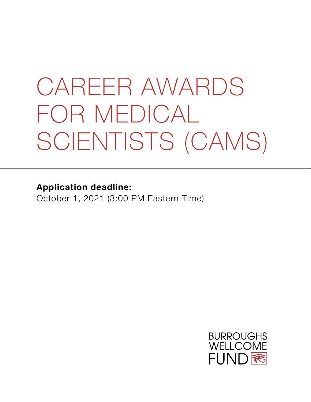# CAREER AWARDS FOR MEDICAL SCIENTISTS (CAMS)

**Application deadline:**

October 1, 2021 (3:00 PM Eastern Time)

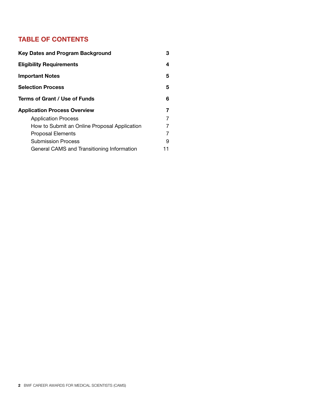### **TABLE OF CONTENTS**

| <b>Key Dates and Program Background</b>      | З  |
|----------------------------------------------|----|
| <b>Eligibility Requirements</b>              | 4  |
| <b>Important Notes</b>                       | 5  |
| <b>Selection Process</b>                     | 5  |
| Terms of Grant / Use of Funds                | 6  |
| <b>Application Process Overview</b>          | 7  |
| <b>Application Process</b>                   | 7  |
| How to Submit an Online Proposal Application | 7  |
| <b>Proposal Elements</b>                     |    |
| <b>Submission Process</b>                    | 9  |
| General CAMS and Transitioning Information   | 11 |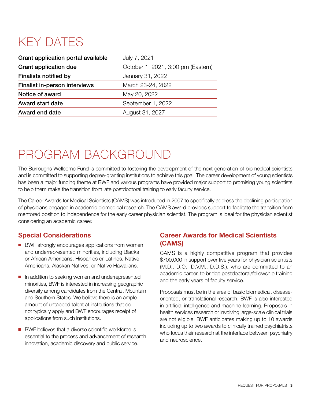### KEY DATES

| Grant application portal available   | July 7, 2021                       |
|--------------------------------------|------------------------------------|
| <b>Grant application due</b>         | October 1, 2021, 3:00 pm (Eastern) |
| <b>Finalists notified by</b>         | January 31, 2022                   |
| <b>Finalist in-person interviews</b> | March 23-24, 2022                  |
| Notice of award                      | May 20, 2022                       |
| <b>Award start date</b>              | September 1, 2022                  |
| Award end date                       | August 31, 2027                    |

### PROGRAM BACKGROUND

The Burroughs Wellcome Fund is committed to fostering the development of the next generation of biomedical scientists and is committed to supporting degree-granting institutions to achieve this goal. The career development of young scientists has been a major funding theme at BWF and various programs have provided major support to promising young scientists to help them make the transition from late postdoctoral training to early faculty service.

The Career Awards for Medical Scientists (CAMS) was introduced in 2007 to specifically address the declining participation of physicians engaged in academic biomedical research. The CAMS award provides support to facilitate the transition from mentored position to independence for the early career physician scientist. The program is ideal for the physician scientist considering an academic career.

#### **Special Considerations**

- BWF strongly encourages applications from women and underrepresented minorities, including Blacks or African Americans, Hispanics or Latinos, Native Americans, Alaskan Natives, or Native Hawaiians.
- n addition to seeking women and underrepresented minorities, BWF is interested in increasing geographic diversity among candidates from the Central, Mountain and Southern States. We believe there is an ample amount of untapped talent at institutions that do not typically apply and BWF encourages receipt of applications from such institutions.
- BWF believes that a diverse scientific workforce is essential to the process and advancement of research innovation, academic discovery and public service.

#### **Career Awards for Medical Scientists (CAMS)**

CAMS is a highly competitive program that provides \$700,000 in support over five years for physician scientists (M.D., D.O., D.V.M., D.D.S.), who are committed to an academic career, to bridge postdoctoral/fellowship training and the early years of faculty service.

Proposals must be in the area of basic biomedical, diseaseoriented, or translational research. BWF is also interested in artificial intelligence and machine learning. Proposals in health services research or involving large-scale clinical trials are not eligible. BWF anticipates making up to 10 awards including up to two awards to clinically trained psychiatrists who focus their research at the interface between psychiatry and neuroscience.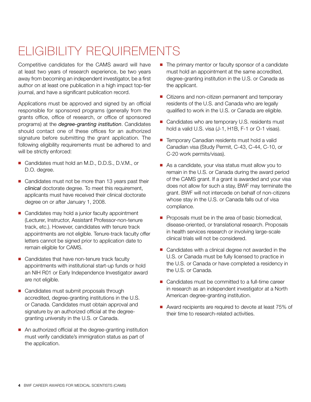## ELIGIBILITY REQUIREMENTS

Competitive candidates for the CAMS award will have at least two years of research experience, be two years away from becoming an independent investigator, be a first author on at least one publication in a high impact top-tier journal, and have a significant publication record.

Applications must be approved and signed by an official responsible for sponsored programs (generally from the grants office, office of research, or office of sponsored programs) at the *degree-granting institution*. Candidates should contact one of these offices for an authorized signature before submitting the grant application. The following eligibility requirements must be adhered to and will be strictly enforced:

- Candidates must hold an M.D., D.D.S., D.V.M., or D.O. degree.
- $\blacksquare$  Candidates must not be more than 13 years past their *clinical* doctorate degree. To meet this requirement, applicants must have received their clinical doctorate degree on or after January 1, 2008.
- Candidates may hold a junior faculty appointment (Lecturer, Instructor, Assistant Professor-non-tenure track, etc.). However, candidates with tenure track appointments are not eligible. Tenure-track faculty offer letters cannot be signed prior to application date to remain eligible for CAMS.
- Candidates that have non-tenure track faculty appointments with institutional start-up funds or hold an NIH R01 or Early Independence Investigator award are not eligible.
- Candidates must submit proposals through accredited, degree-granting institutions in the U.S. or Canada. Candidates must obtain approval and signature by an authorized official at the degreegranting university in the U.S. or Canada.
- An authorized official at the degree-granting institution must verify candidate's immigration status as part of the application.
- The primary mentor or faculty sponsor of a candidate must hold an appointment at the same accredited, degree-granting institution in the U.S. or Canada as the applicant.
- Citizens and non-citizen permanent and temporary residents of the U.S. and Canada who are legally qualified to work in the U.S. or Canada are eligible.
- Candidates who are temporary U.S. residents must hold a valid U.S. visa (J-1, H1B, F-1 or O-1 visas).
- Temporary Canadian residents must hold a valid Canadian visa (Study Permit, C-43, C-44, C-10, or C-20 work permits/visas).
- As a candidate, your visa status must allow you to remain in the U.S. or Canada during the award period of the CAMS grant. If a grant is awarded and your visa does not allow for such a stay, BWF may terminate the grant. BWF will not intercede on behalf of non-citizens whose stay in the U.S. or Canada falls out of visa compliance.
- **Proposals must be in the area of basic biomedical,** disease-oriented, or translational research. Proposals in health services research or involving large-scale clinical trials will not be considered.
- Candidates with a clinical degree not awarded in the U.S. or Canada must be fully licensed to practice in the U.S. or Canada or have completed a residency in the U.S. or Canada.
- $\blacksquare$  Candidates must be committed to a full-time career in research as an independent investigator at a North American degree-granting institution.
- Award recipients are required to devote at least 75% of their time to research-related activities.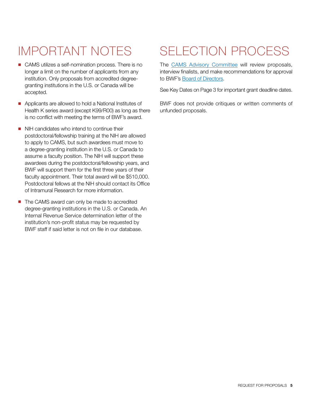- CAMS utilizes a self-nomination process. There is no longer a limit on the number of applicants from any institution. Only proposals from accredited degreegranting institutions in the U.S. or Canada will be accepted.
- Applicants are allowed to hold a National Institutes of Health K series award (except K99/R00) as long as there is no conflict with meeting the terms of BWF's award.
- $\blacksquare$  NIH candidates who intend to continue their postdoctoral/fellowship training at the NIH are allowed to apply to CAMS, but such awardees must move to a degree-granting institution in the U.S. or Canada to assume a faculty position. The NIH will support these awardees during the postdoctoral/fellowship years, and BWF will support them for the first three years of their faculty appointment. Their total award will be \$510,000. Postdoctoral fellows at the NIH should contact its Office of Intramural Research for more information.
- The CAMS award can only be made to accredited degree-granting institutions in the U.S. or Canada. An Internal Revenue Service determination letter of the institution's non-profit status may be requested by BWF staff if said letter is not on file in our database.

### IMPORTANT NOTES SELECTION PROCESS

The [CAMS Advisory Committee](http://www.bwfund.org/grant-programs/biomedical-sciences/career-awards-medical-scientists/advisory-committee) will review proposals, interview finalists, and make recommendations for approval to BWF's [Board of Directors](http://www.bwfund.org/board-directors).

See Key Dates on Page 3 for important grant deadline dates.

BWF does not provide critiques or written comments of unfunded proposals.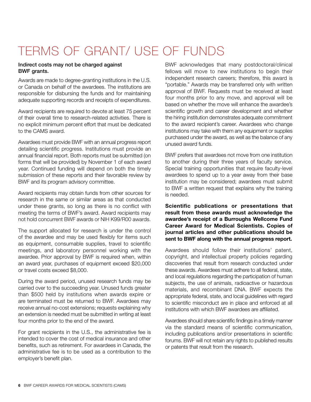### TERMS OF GRANT/ USE OF FUNDS

#### Indirect costs may not be charged against BWF grants.

Awards are made to degree-granting institutions in the U.S. or Canada on behalf of the awardees. The institutions are responsible for disbursing the funds and for maintaining adequate supporting records and receipts of expenditures.

Award recipients are required to devote at least 75 percent of their overall time to research-related activities. There is no explicit minimum percent effort that must be dedicated to the CAMS award.

Awardees must provide BWF with an annual progress report detailing scientific progress. Institutions must provide an annual financial report. Both reports must be submitted (on forms that will be provided) by November 1 of each award year. Continued funding will depend on both the timely submission of these reports and their favorable review by BWF and its program advisory committee.

Award recipients may obtain funds from other sources for research in the same or similar areas as that conducted under these grants, so long as there is no conflict with meeting the terms of BWF's award. Award recipients may not hold concurrent BWF awards or NIH K99/R00 awards.

The support allocated for research is under the control of the awardee and may be used flexibly for items such as equipment, consumable supplies, travel to scientific meetings, and laboratory personnel working with the awardee. Prior approval by BWF is required when, within an award year, purchases of equipment exceed \$20,000 or travel costs exceed \$8,000.

During the award period, unused research funds may be carried over to the succeeding year. Unused funds greater than \$500 held by institutions when awards expire or are terminated must be returned to BWF. Awardees may receive annual no-cost extensions; requests explaining why an extension is needed must be submitted in writing at least four months prior to the end of the award.

For grant recipients in the U.S., the administrative fee is intended to cover the cost of medical insurance and other benefits, such as retirement. For awardees in Canada, the administrative fee is to be used as a contribution to the employer's benefit plan.

BWF acknowledges that many postdoctoral/clinical fellows will move to new institutions to begin their independent research careers; therefore, this award is "portable." Awards may be transferred only with written approval of BWF. Requests must be received at least four months prior to any move, and approval will be based on whether the move will enhance the awardee's scientific growth and career development and whether the hiring institution demonstrates adequate commitment to the award recipient's career. Awardees who change institutions may take with them any equipment or supplies purchased under the award, as well as the balance of any unused award funds.

BWF prefers that awardees not move from one institution to another during their three years of faculty service. Special training opportunities that require faculty-level awardees to spend up to a year away from their base institution may be considered; awardees must submit to BWF a written request that explains why the training is needed.

**Scientific publications or presentations that result from these awards must acknowledge the awardee's receipt of a Burroughs Wellcome Fund Career Award for Medical Scientists. Copies of journal articles and other publications should be sent to BWF along with the annual progress report.**

Awardees should follow their institutions' patent, copyright, and intellectual property policies regarding discoveries that result from research conducted under these awards. Awardees must adhere to all federal, state, and local regulations regarding the participation of human subjects, the use of animals, radioactive or hazardous materials, and recombinant DNA. BWF expects the appropriate federal, state, and local guidelines with regard to scientific misconduct are in place and enforced at all institutions with which BWF awardees are affiliated.

Awardees should share scientific findings in a timely manner via the standard means of scientific communication, including publications and/or presentations in scientific forums. BWF will not retain any rights to published results or patents that result from the research.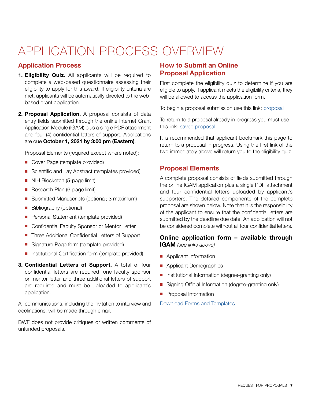### APPLICATION PROCESS OVERVIEW

#### **Application Process**

- **1. Eligibility Quiz.** All applicants will be required to complete a web-based questionnaire assessing their eligibility to apply for this award. If eligibility criteria are met, applicants will be automatically directed to the webbased grant application.
- **2. Proposal Application.** A proposal consists of data entry fields submitted through the online Internet Grant Application Module (IGAM) plus a single PDF attachment and four (4) confidential letters of support. Applications are due **October 1, 2021 by 3:00 pm (Eastern)**.

Proposal Elements (required except where noted):

- Cover Page (template provided)
- Scientific and Lay Abstract (templates provided)
- **NIH Biosketch (5-page limit)**
- Research Plan (6-page limit)
- Submitted Manuscripts (optional; 3 maximum)
- **n** Bibliography (optional)
- **Personal Statement (template provided)**
- **n** Confidential Faculty Sponsor or Mentor Letter
- Three Additional Confidential Letters of Support
- Signature Page form (template provided)
- **n** Institutional Certification form (template provided)
- **3. Confidential Letters of Support.** A total of four confidential letters are required: one faculty sponsor or mentor letter and three additional letters of support are required and must be uploaded to applicant's application.

All communications, including the invitation to interview and declinations, will be made through email.

BWF does not provide critiques or written comments of unfunded proposals.

#### **How to Submit an Online Proposal Application**

First complete the eligibility quiz to determine if you are eligible to apply. If applicant meets the eligibility criteria, they will be allowed to access the application form.

To begin a proposal submission use this link: [proposal](https://www.GrantRequest.com/SID_227?SA=SNA&FID=35078)

To return to a proposal already in progress you must use this link: [saved proposal](https://www.grantrequest.com/SID_227/?SA=AM)

It is recommended that applicant bookmark this page to return to a proposal in progress. Using the first link of the two immediately above will return you to the eligibility quiz.

#### **Proposal Elements**

A complete proposal consists of fields submitted through the online IGAM application plus a single PDF attachment and four confidential letters uploaded by applicant's supporters. The detailed components of the complete proposal are shown below. Note that it is the responsibility of the applicant to ensure that the confidential letters are submitted by the deadline due date. An application will not be considered complete without all four confidential letters.

#### **Online application form – available through IGAM** *(see links above)*

- **n** Applicant Information
- **n** Applicant Demographics
- **n** Institutional Information (degree-granting only)
- **n** Signing Official Information (degree-granting only)
- **n** Proposal Information

[Download Forms and Templates](http://www.bwfund.org/grant-programs/biomedical-sciences/career-awards-medical-scientists/forms-and-resources)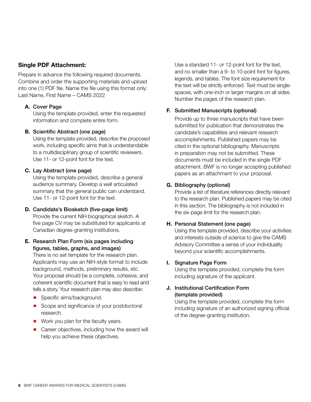#### **Single PDF Attachment:**

Prepare in advance the following required documents. Combine and order the supporting materials and upload into one (1) PDF file. Name the file using this format only: Last Name, First Name – CAMS 2022

#### **A.** Cover Page

Using the template provided, enter the requested information and complete entire form.

#### **B.** Scientific Abstract (one page)

Using the template provided, describe the proposed work, including specific aims that is understandable to a multidisciplinary group of scientific reviewers. Use 11- or 12-point font for the text.

#### **C.** Lay Abstract (one page)

Using the template provided, describe a general audience summary. Develop a well articulated summary that the general public can understand. Use 11- or 12-point font for the text.

#### **D.** Candidate's Biosketch (five-page limit)

Provide the current NIH biographical sketch. A five page CV may be substituted for applicants at Canadian degree-granting institutions.

#### **E.** Research Plan Form (six pages including figures, tables, graphs, and images)

There is no set template for the research plan. Applicants may use an NIH-style format to include background, methods, preliminary results, etc. Your proposal should be a complete, cohesive, and coherent scientific document that is easy to read and tells a story. Your research plan may also describe:

- **n** Specific aims/background.
- Scope and significance of your postdoctoral research.
- $\blacksquare$  Work you plan for the faculty years.
- $\blacksquare$  Career objectives, including how the award will help you achieve these objectives.

Use a standard 11- or 12-point font for the text, and no smaller than a 9- to 10-point font for figures, legends, and tables. The font size requirement for the text will be strictly enforced. Text must be singlespaces, with one-inch or larger margins on all sides. Number the pages of the research plan.

#### **F.** Submitted Manuscripts (optional)

Provide up to three manuscripts that have been submitted for publication that demonstrates the candidate's capabilities and relevant research accomplishments. Published papers may be cited in the optional bibliography. Manuscripts in preparation may not be submitted. These documents must be included in the single PDF attachment. BWF is no longer accepting published papers as an attachment to your proposal.

#### **G.** Bibliography (optional)

Provide a list of literature references directly relevant to the research plan. Published papers may be cited in this section. The bibliography is not included in the six-page limit for the research plan.

#### **H.** Personal Statement (one page)

Using the template provided, describe your activities and interests outside of science to give the CAMS Advisory Committee a sense of your individuality beyond your scientific accomplishments.

#### **I.** Signature Page Form

Using the template provided, complete the form including signature of the applicant.

#### **J.** Institutional Certification Form (template provided)

Using the template provided, complete the form including signature of an authorized signing official of the degree-granting institution.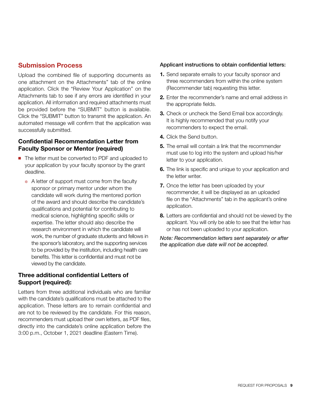#### **Submission Process**

Upload the combined file of supporting documents as one attachment on the Attachments" tab of the online application. Click the "Review Your Application" on the Attachments tab to see if any errors are identified in your application. All information and required attachments must be provided before the "SUBMIT" button is available. Click the "SUBMIT" button to transmit the application. An automated message will confirm that the application was successfully submitted.

#### **Confidential Recommendation Letter from Faculty Sponsor or Mentor (required)**

- The letter must be converted to PDF and uploaded to your application by your faculty sponsor by the grant deadline.
	- $\ast$  A letter of support must come from the faculty sponsor or primary mentor under whom the candidate will work during the mentored portion of the award and should describe the candidate's qualifications and potential for contributing to medical science, highlighting specific skills or expertise. The letter should also describe the research environment in which the candidate will work, the number of graduate students and fellows in the sponsor's laboratory, and the supporting services to be provided by the institution, including health care benefits. This letter is confidential and must not be viewed by the candidate.

#### **Three additional confidential Letters of Support (required):**

Letters from three additional individuals who are familiar with the candidate's qualifications must be attached to the application. These letters are to remain confidential and are not to be reviewed by the candidate. For this reason, recommenders must upload their own letters, as PDF files, directly into the candidate's online application before the 3:00 p.m., October 1, 2021 deadline (Eastern Time).

#### Applicant instructions to obtain confidential letters:

- **1.** Send separate emails to your faculty sponsor and three recommenders from within the online system (Recommender tab) requesting this letter.
- **2.** Enter the recommender's name and email address in the appropriate fields.
- **3.** Check or uncheck the Send Email box accordingly. It is highly recommended that you notify your recommenders to expect the email.
- **4.** Click the Send button.
- **5.** The email will contain a link that the recommender must use to log into the system and upload his/her letter to your application.
- **6.** The link is specific and unique to your application and the letter writer.
- **7.** Once the letter has been uploaded by your recommender, it will be displayed as an uploaded file on the "Attachments" tab in the applicant's online application.
- **8.** Letters are confidential and should not be viewed by the applicant. You will only be able to see that the letter has or has not been uploaded to your application.

*Note: Recommendation letters sent separately or after the application due date will not be accepted.*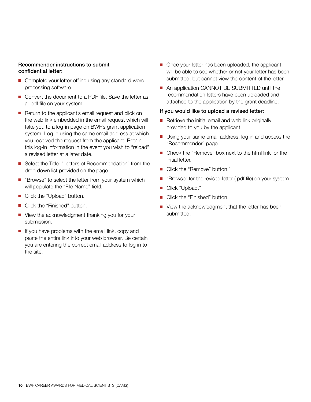#### Recommender instructions to submit confidential letter:

- Complete your letter offline using any standard word processing software.
- Convert the document to a PDF file. Save the letter as a .pdf file on your system.
- Return to the applicant's email request and click on the web link embedded in the email request which will take you to a log-in page on BWF's grant application system. Log in using the same email address at which you received the request from the applicant. Retain this log-in information in the event you wish to "reload" a revised letter at a later date.
- Select the Title: "Letters of Recommendation" from the drop down list provided on the page.
- "Browse" to select the letter from your system which will populate the "File Name" field.
- Click the "Upload" button.
- Click the "Finished" button.
- View the acknowledgment thanking you for your submission.
- $\blacksquare$  If you have problems with the email link, copy and paste the entire link into your web browser. Be certain you are entering the correct email address to log in to the site.
- Once your letter has been uploaded, the applicant will be able to see whether or not your letter has been submitted, but cannot view the content of the letter.
- An application CANNOT BE SUBMITTED until the recommendation letters have been uploaded and attached to the application by the grant deadline.

#### If you would like to upload a revised letter:

- $\blacksquare$  Retrieve the initial email and web link originally provided to you by the applicant.
- Using your same email address, log in and access the "Recommender" page.
- $\blacksquare$  Check the "Remove" box next to the html link for the initial letter.
- Click the "Remove" button."
- "Browse" for the revised letter (.pdf file) on your system.
- Click "Upload."
- Click the "Finished" button.
- View the acknowledgment that the letter has been submitted.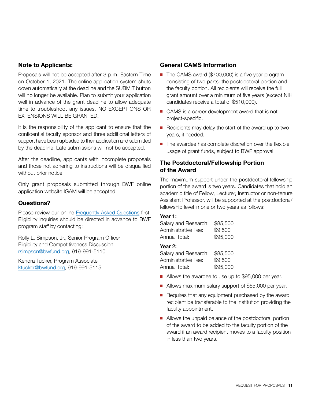#### **Note to Applicants:**

Proposals will not be accepted after 3 p.m. Eastern Time on October 1, 2021. The online application system shuts down automatically at the deadline and the SUBMIT button will no longer be available. Plan to submit your application well in advance of the grant deadline to allow adequate time to troubleshoot any issues. NO EXCEPTIONS OR EXTENSIONS WILL BE GRANTED.

It is the responsibility of the applicant to ensure that the confidential faculty sponsor and three additional letters of support have been uploaded to their application and submitted by the deadline. Late submissions will not be accepted.

After the deadline, applicants with incomplete proposals and those not adhering to instructions will be disqualified without prior notice.

Only grant proposals submitted through BWF online application website IGAM will be accepted.

#### **Questions?**

Please review our online [Frequently Asked Questions](http://www.bwfund.org/grant-programs/biomedical-sciences/career-awards-medical-scientists/faqs) first. Eligibility inquiries should be directed in advance to BWF program staff by contacting:

Rolly L. Simpson, Jr., Senior Program Officer Eligibility and Competitiveness Discussion [rsimpson@bwfund.org,](mailto:rsimpson@bwfund.org) 919-991-5110

Kendra Tucker, Program Associate [ktucker@bwfund.org,](mailto:ktucker@bwfund.org) 919-991-5115

#### **General CAMS Information**

- The CAMS award (\$700,000) is a five year program consisting of two parts: the postdoctoral portion and the faculty portion. All recipients will receive the full grant amount over a minimum of five years (except NIH candidates receive a total of \$510,000).
- CAMS is a career development award that is not project-specific.
- Recipients may delay the start of the award up to two years, if needed.
- $\blacksquare$  The awardee has complete discretion over the flexible usage of grant funds, subject to BWF approval.

#### **The Postdoctoral/Fellowship Portion of the Award**

The maximum support under the postdoctoral fellowship portion of the award is two years. Candidates that hold an academic title of Fellow, Lecturer, Instructor or non-tenure Assistant Professor, will be supported at the postdoctoral/ fellowship level in one or two years as follows:

#### Year 1:

| Salary and Research: | \$85,500 |
|----------------------|----------|
| Administrative Fee:  | \$9,500  |
| Annual Total:        | \$95,000 |

#### Year 2:

Salary and Research: \$85,500 Administrative Fee: \$9,500 Annual Total: \$95,000

- Allows the awardee to use up to \$95,000 per year.
- Allows maximum salary support of \$65,000 per year.
- $\blacksquare$  Requires that any equipment purchased by the award recipient be transferable to the institution providing the faculty appointment.
- Allows the unpaid balance of the postdoctoral portion of the award to be added to the faculty portion of the award if an award recipient moves to a faculty position in less than two years.